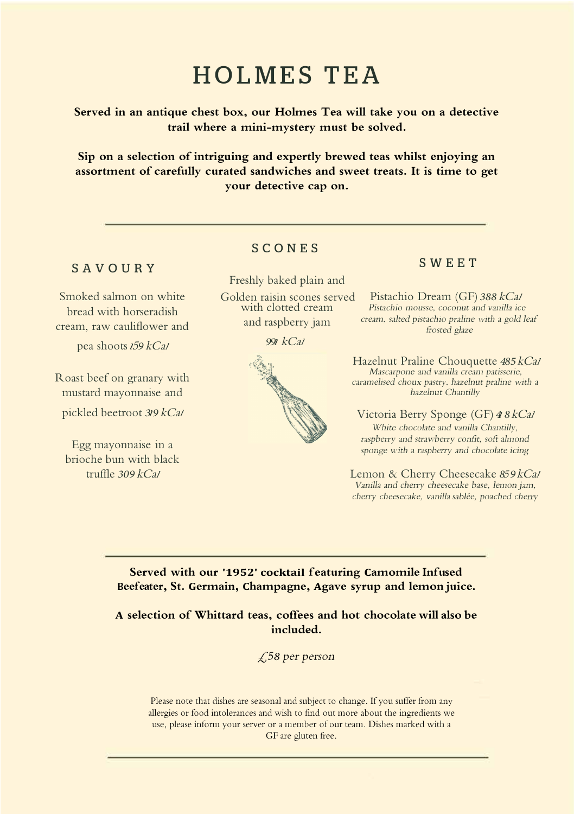# **HOLMES TEA**

**Served in an antique chest box, our Holmes Tea will take you on a detective trail where a mini-mystery must be solved.** 

**Sip on a selection of intriguing and expertly brewed teas whilst enjoying an assortment of carefully curated sandwiches and sweet treats. It is time to get your detective cap on.** 

## **SAVOURY**

Smoked salmon on white bread with horseradish cream, raw cauliflower and

pea shoots <sup>1</sup><sup>5</sup>*9* kCal

Roast beef on granary with mustard mayonnaise and pickled beetroot *3*1*9* kCal

Egg mayonnaise in a brioche bun with black trufile *309* kCal

# **SCONES**

Freshly baked plain and with clotted cream and raspberry jam

*99*1 kCal



# **SWEET**

Golden raisin scones served Pistachio Dream (GF) *388* kCal Pistachio mousse. coconut and vanilla ice cream, salted pistachio praline with a gold leaf frosted glaze

> Hazelnut Praline Chouquette *485*kCal Mascarpone and vanilla cream patisserie, caramelised choux pastry, hazelnut praline with a hazelnut Chantill<sup>y</sup>

Victoria Berry Sponge (GF) *4*<sup>1</sup> *8*kCal White chocolate and vanilla Chantilly. raspberry and strawberry confit, soft almond sponge with a raspberry and chocolate icing

Lemon & Cherry Cheesecake 859 kCal Vanilla and cherry cheesecake base, lemon jam. cherry cheesecake, vanilla sablée, poached cherry

**Served with our '1952' cocktail featuring Camomile Infused Beefeater, St. Germain, Champagne, Agave syrup and lemon juice.**

**A selection of Whittard teas, coffees and hot chocolate will also be included.**

*£58* per *person* 

Please note that dishes are seasonal and subject to change. If you suffer from any allergies or food intolerances and wish to find out more about the ingredients we use, please inform your server or a member of our team. Dishes marked with a CF are gluten free.